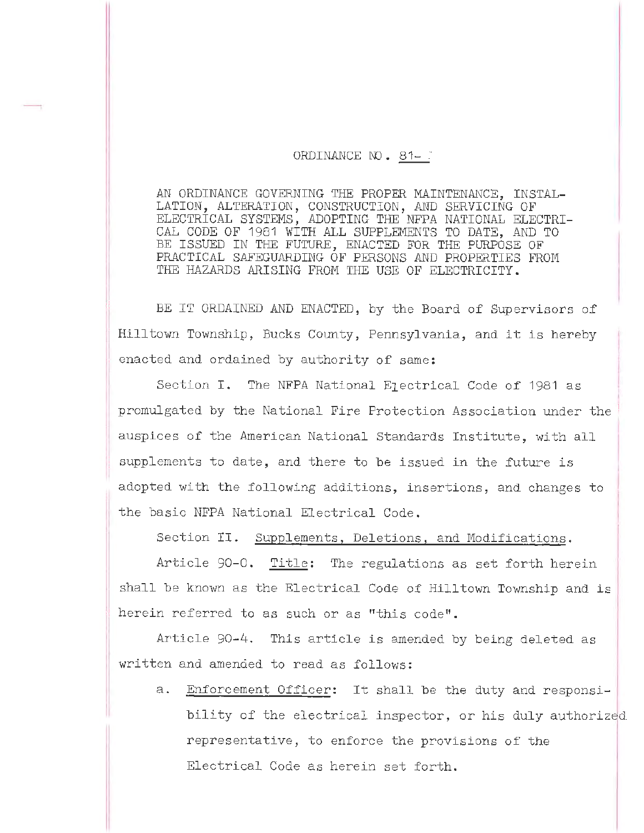## ORDINANCE NO. 81-3

AN ORDINANCE GOVERNING THE PROPER MAINTENANCE, INSTAL-LATION, ALTERATION, CONSTRUCTION, AND SERVICING OF ELECTRICAL SYSTEMS, ADOPTING THE NFPA NATIONAL ELECTRI-CAL CODE OF 1981 WITH ALL SUPPLEMENTS TO DATE, AND TO BE ISSUED IN THE FUTURE, ENACTED FOR THE PURPOSE OF PRACTICAL SAFEGUARDING OF PERSONS AND PROPERTIES FROM THE HAZARDS ARISING FROM THE USE OF ELECTRICITY.

BE IT ORDAINED AND ENACTED, by the Board of Supervisors of Hilltown Township, Bucks County, Pennsylvania, and it is hereby enacted and ordained by authority of same:

Section I. The NFPA National E1ectrical Code of 1981 as promulgated by the National Fire Protection Association under the auspices of the American National Standards Institute, with all supplements to date, and there to be issued in the future is adopted with the following additions, insertions, and changes to the basic NFPA National Electrical Code.

Section II. Supplements, Deletions, and Modifications.

Article 90-0. Title: The regulations as set forth herein shall be known as the Electrical Code of Hilltown Township and is herein referred to as such or as "this code".

Article 90-4. This article is amended by being deleted as written and amended to read as follows:

a. Enforcement Officer: It shall be the duty and responsibility of the electrical inspector, or his duly authorized representative, to enforce the provisions of the Electrical Code as herein set forth.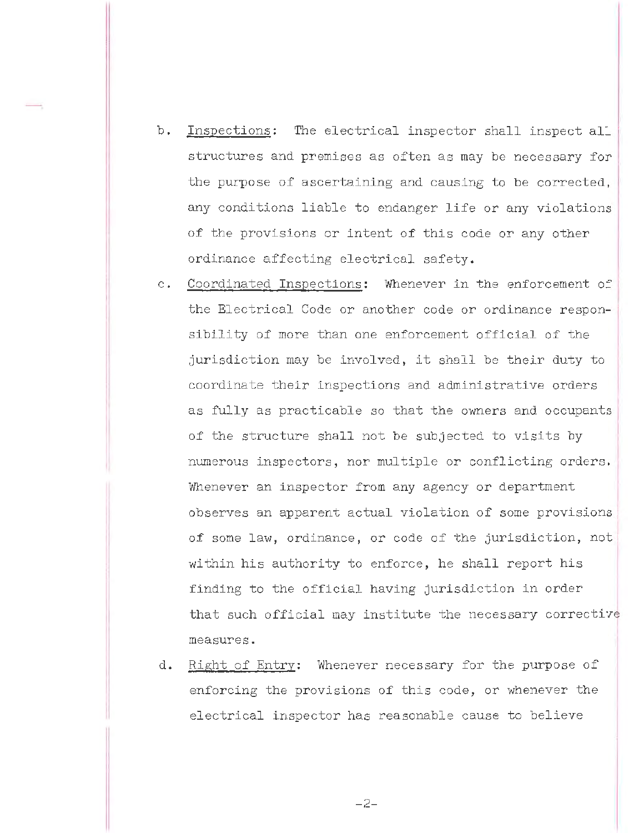- b. Inspections: The electrical inspector shall inspect all structures and premises as often as may be necessary for the purpose of ascertaining and causing to be corrected. .any conditions liable to endanger life or any violations of the provisions or intent of this code or any other ordinance affecting electrical safety.
- c. Coordinated Inspections: Whenever in the enforcement of the Electrical Code or another code or ordinance responsibility of more than one enforcement official of the jurisdiction may be involved, it shall be their duty to coordinate their inspections and administrative orders as fully as practicable so that the owners and occupants of the structure shall not be subjected to visits by numerous inspectors, nor multiple or conflicting orders. Whenever an inspector from any agency or department observes an apparent actual violation of some provisions : of some law, ordinance, or code of the jurisdiction, not within his authority to enforce, he shall report his finding to the official having jurisdiction in order that such official may institute the necessary corrective measures.
- d. Right of Entry: whenever necessary for the purpose of enforcing the provisions of this code, or whenever the electrical inspector has reasonable cause to believe

- 2-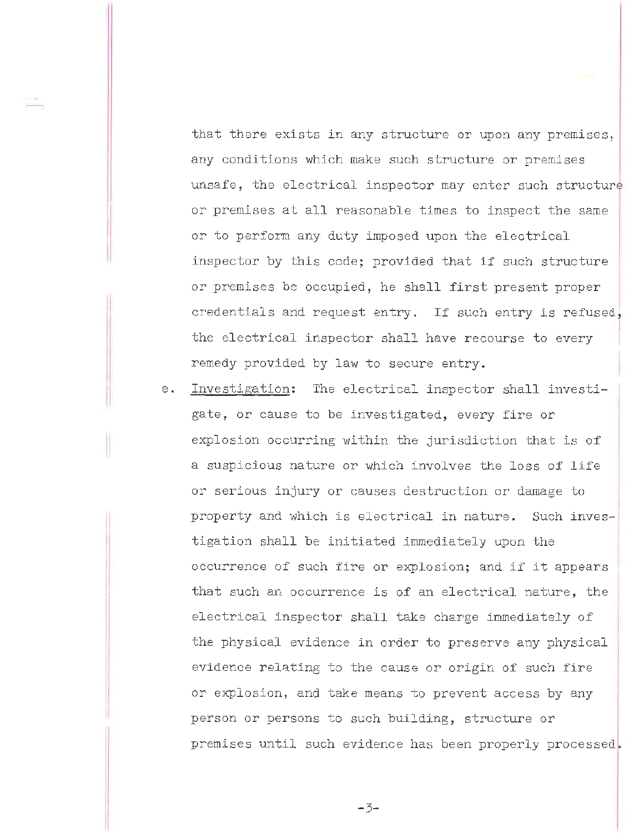that there exists in any structure or upon any premises, any conditions which make such structure or premises unsafe, the electrical inspector may enter such structure or premises at all reasonable times to inspect the same or to perform any duty imposed upon the electrical inspector by this code; provided that if such structure or premises be occupied, he shall first present proper credentials and request entry. If such entry is refused, the electrical inspector shall have recourse to every remedy provided by law to secure entry.

e. Investigation: The electrical inspector shall investi- <sup>1</sup> gate, or cause to be investigated, every fire or explosion occurring within the jurisdiction that is of a suspicious nature or which involves the loss of life or serious injury or causes destruction or damage to property and which is electrical in nature. Such investigation shall be initiated immediately upon the occurrence of such fire or explosion; and if it appears that such an occurrence is of an electrical nature, the electrical inspector shall take charge immediately of the physical evidence in order to preserve any physical evidence relating to the cause or origin of such fire or explosion, and take means to prevent access by any person or persons to such building, structure or premises until such evidence has been properly processed.

I II

I ,I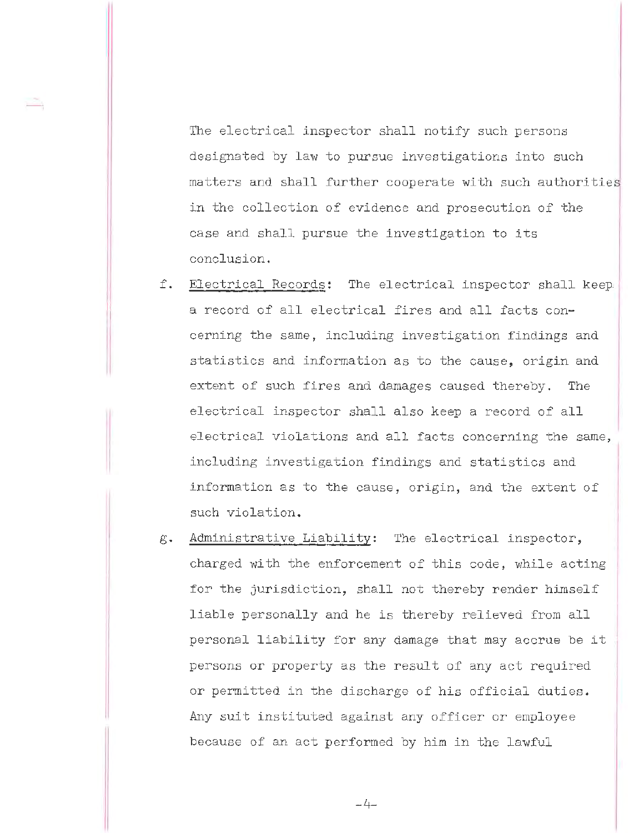The electrical inspector shall notify such persons designated by law to pursue investigations into such matters and shall further cooperate with such authorities in the collection of evidence and prosecution of the case and shall pursue the investigation to its conclusion.

-,

- f. Electrical Records: The electrical inspector shall keep. a record of all electrical fires and all facts concerning the same, including investigation findings and statistics and information as to the cause, origin and extent of such fires and damages caused thereby. The electrical inspector shall also keep a record of all electrical violations and all facts concerning the same, including investigation findings and statistics and information as to the cause, origin, and the extent of such violation.
- g. Administrative Liability: The electrical inspector, charged with the enforcement of this code, while acting for the jurisdiction, shall not thereby render himself liable personally and he is thereby relieved from all personal liability for any damage that may accrue be it persons or property as the result of any act required or permitted in the discharge of his official duties. Any suit instituted against any officer or employee because of an act performed by him in the lawful

 $-4-$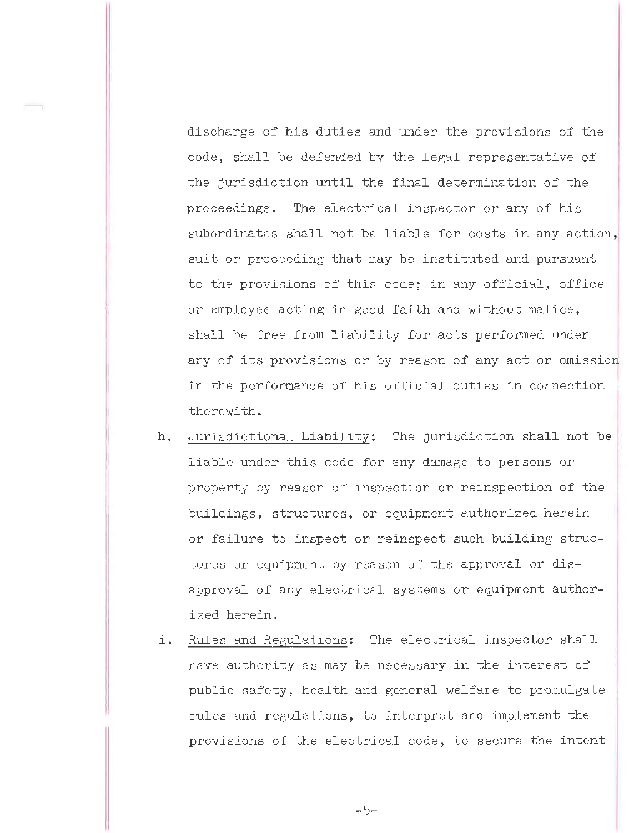discharge of his duties and under the provisions of the code, shall be defended by the legal representative of the jurisdiction until the final determination of the proceedings. The electrical inspector or any of his subordinates shall not be liable for costs in any action,, suit or proceeding that may be instituted and pursuant to the provisions of this code; in any official, office or employee acting in good faith and without malice, shall be free from liability for acts performed under any of its provisions or by reason of any act or omission in the performance of his official duties in connection therewith.

- h. Jurisdictional Liability: The jurisdiction shall not be liable under this code for any damage to persons or property by reason of inspection or reinspection of the buildings, structures, or equipment authorized herein or failure to inspect or reinspect such building structures or equipment by reason of the approval or disapproval of any electrical systems or equipment authorized herein.
- i. Rules and Regulations: The electrical inspector shall have authority as may be necessary in the interest of public safety, health and general welfare to promulgate rules and regulations, to interpret and implement the provisions of the electrical code, to secure the intent

-5-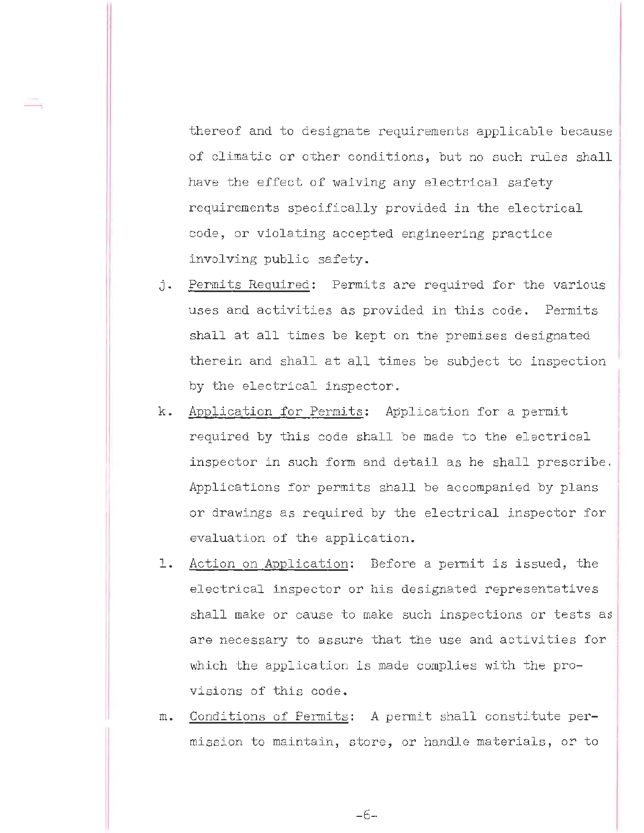thereof and to designate requirements applicable because of climatic or other conditions, but no such rules shall have the effect of waiving any electrical safety requirements specifically provided in the electrical code, or violating accepted engineering practice involving public safety.

- j. Permits Required: Permits are required for the various uses and activities as provided in this code. Permits shall at all times be kept on the premises designated therein and shall at all times be subject to inspection by the electrical inspector.
- k. Application for Permits: Application for a permit required by this code shall be made to the electrical inspector in such form and detail as he shall prescribe. Applications for permits shall be accompanied by plans or drawings as required by the electrical inspector for evaluation of the application.
- 1. Action on Application: Before a permit is issued, the electrical inspector or his designated representatives shall make or cause to make such inspections or tests as are necessary to assure that the use and activities for which the application is made complies with the provisions of this code.
- m. Conditions of Permits: A permit shall constitute permission to maintain, store, or handle materials, or to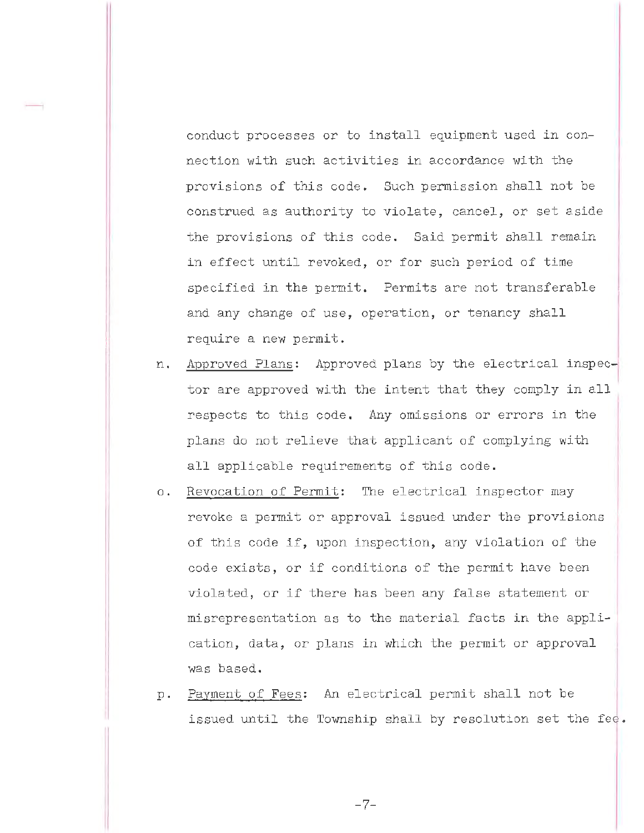conduct processes or to install equipment used in connection with such activities in accordance with the provisions of this code. Such permission shall not be construed as authority to violate, cancel, or set aside the provisions of this code. Said permit shall remain in effect until revoked, or for such period of time specified in the permit. Permits are not transferable and any change of use, operation, or tenancy shall require a new permit.

- n. Approved Plans: Approved plans by the electrical inspector are approved with the intent that they comply in all respects to this code. Any omissions or errors in the plans do not relieve that applicant of complying with all applicable requirements of this code.
- o. Revocation of Permit: The electrical inspector may revoke a permit or approval issued under the provisions of this code if, upon inspection, any violation of the code exists, or if conditions of the permit have been violated, or if there has been any false statement or misrepresentation as to the material facts in the application, data, or plans in which the permit or approval was based.
- p. Payment of Fees: An electrical permit shall not be issued until the Township shall by resolution set the fee.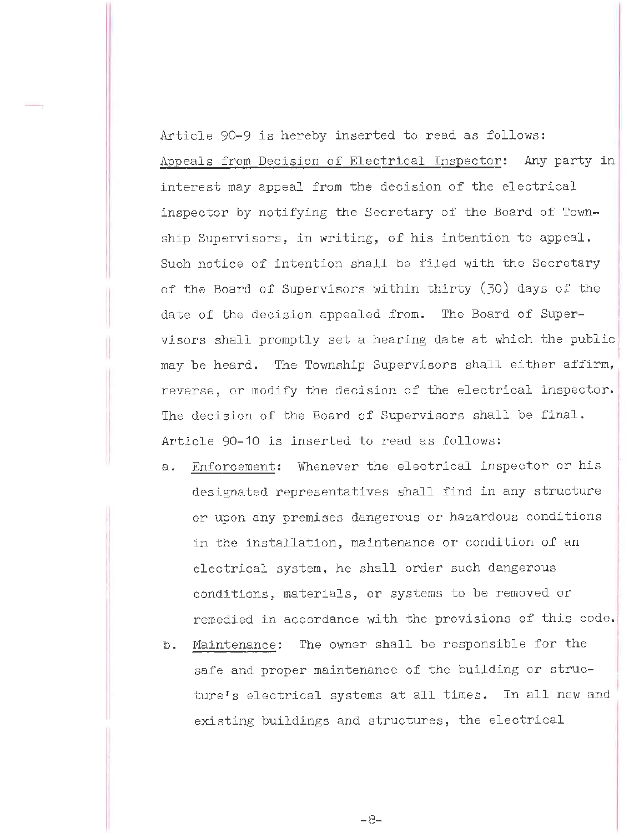Article 90-9 is hereby inserted to read as follows: Appeals from Decision of Electrical Inspector: Any party in interest may appeal from the decision of the electrical inspector by notifying the Secretary of the Board of Township Supervisors, in writing, of his intention to appeal. Such notice of intention shall be filed with the Secretary of the Board of Supervisors within thirty (30) days of the date of the decision appealed from. The Board of Supervisors shall promptly set a hearing date at which the public <sup>1</sup> may be heard. The Township Supervisors shall either affirm, reverse, or modify the decision of the electrical inspector. The decision of the Board of Supervisors shall be final. Article 90-10 is inserted to read as follows:

I

- a. Enforcement: Whenever the electrical inspector or his designated representatives shall find in any structure or upon any premises dangerous or hazardous conditions in the installation, maintenance or condition of an electrical system, he shall order such dangerous conditions, materials, or systems to be removed or remedied in accordance with the provisions of this code.
- b. Maintenance: The owner shall be responsible for the safe and proper maintenance of the building or structure's electrical systems at all times. In all new and existing buildings and structures, the electrical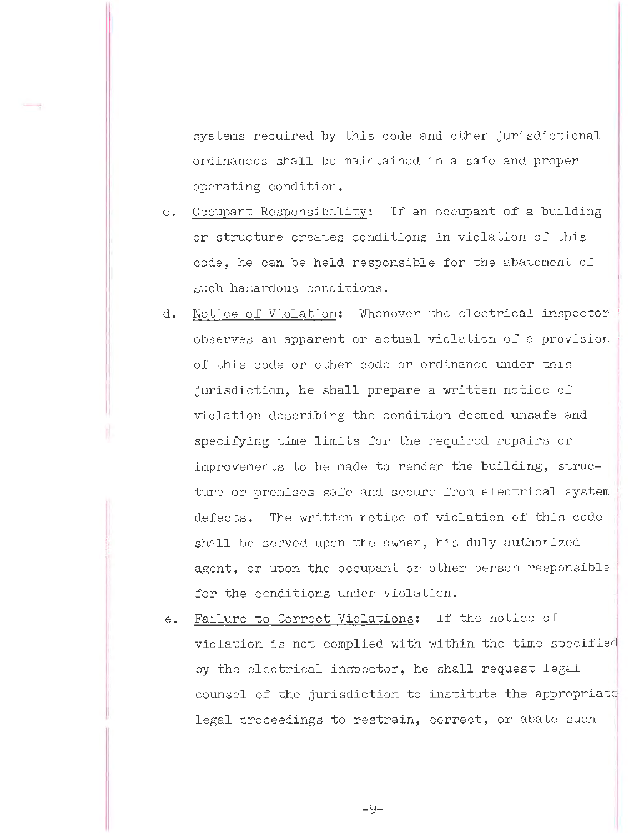systems required by this code and other jurisdictional ordinances shall be maintained in a safe and proper operating condition.

- c. Occupant Responsibility: If an occupant of a building or structure creates conditions in violation of this code, he can be held responsible for the abatement of such hazardous conditions.
- d. Notice of Violation: Whenever the electrical inspector observes an apparent or actual violation of a provision , of this code or other code or ordinance under this jurisdiction, he shall prepare a written notice of violation describing the condition deemed unsafe and specifying time limits for the required repairs or improvements to be made to render the building, structure or premises safe and secure from electrical system defects. The written notice of violation of this code shall be served upon the owner, his duly authorized agent, or upon the occupant or other person responsible for the conditions under violation.
- e. Failure to Correct Violations: If the notice of violation is not complied with within the time specified by the electrical inspector, he shall request legal counsel of the jurisdiction to institute the appropriate legal proceedings to restrain, correct, or abate such

- 9-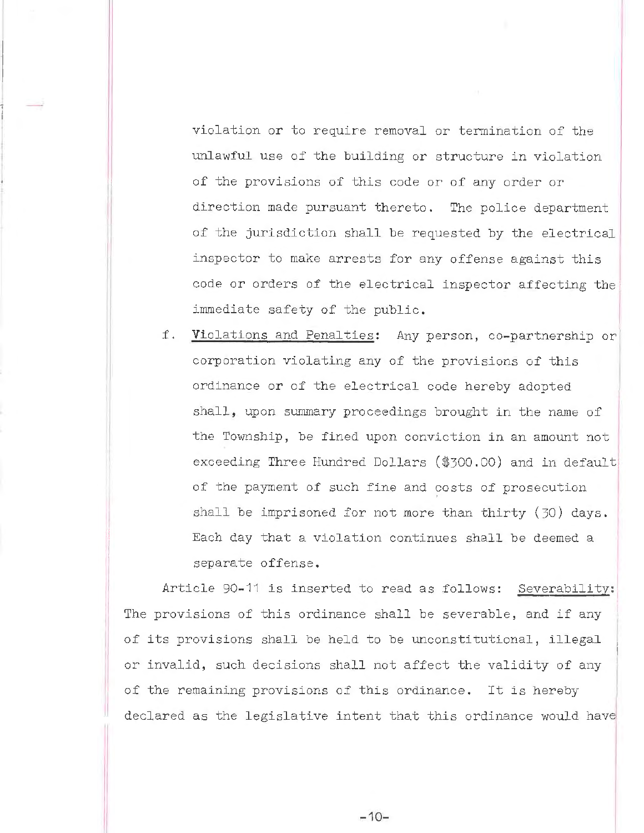violation or to require removal or termination of the unlawful use of the building or structure in violation of the provisions of this code or of any order or direction made pursuant thereto. The police department of the jurisdiction shall be requested by the electrical inspector to make arrests for any offense against this code or orders of the electrical inspector affecting the immediate safety of the public.

f. Violations and Penalties: Any person, co-partnership or corporation violating any of the provisions of this ordinance or of the electrical code hereby adopted shall, upon summary proceedings brought in the name of the Township, be fined upon conviction in an amount not exceeding Three Hundred Dollars (\$300.00) and in default of the payment of such fine and costs of prosecution shall be imprisoned for not more than thirty (30) days. Each day that a violation continues shall be deemed a separate offense.

Article 90-11 is inserted to read as follows: Severability: The provisions of this ordinance shall be severable, and if any of its provisions shall be held to be unconstitutional, illegal or invalid, such decisions shall not affect the validity of any of the remaining provisions of this ordinance. It is hereby declared as the legislative intent that this ordinance would have